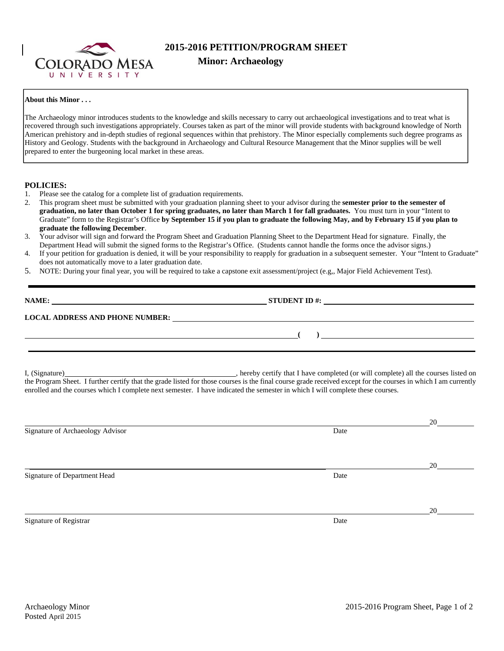

# **2015-2016 PETITION/PROGRAM SHEET**

## **About this Minor . . .**

The Archaeology minor introduces students to the knowledge and skills necessary to carry out archaeological investigations and to treat what is recovered through such investigations appropriately. Courses taken as part of the minor will provide students with background knowledge of North American prehistory and in-depth studies of regional sequences within that prehistory. The Minor especially complements such degree programs as History and Geology. Students with the background in Archaeology and Cultural Resource Management that the Minor supplies will be well prepared to enter the burgeoning local market in these areas.

## **POLICIES:**

- 1. Please see the catalog for a complete list of graduation requirements.
- 2. This program sheet must be submitted with your graduation planning sheet to your advisor during the **semester prior to the semester of graduation, no later than October 1 for spring graduates, no later than March 1 for fall graduates.** You must turn in your "Intent to Graduate" form to the Registrar's Office **by September 15 if you plan to graduate the following May, and by February 15 if you plan to graduate the following December**.
- 3. Your advisor will sign and forward the Program Sheet and Graduation Planning Sheet to the Department Head for signature. Finally, the Department Head will submit the signed forms to the Registrar's Office. (Students cannot handle the forms once the advisor signs.)
- 4. If your petition for graduation is denied, it will be your responsibility to reapply for graduation in a subsequent semester. Your "Intent to Graduate" does not automatically move to a later graduation date.
- 5. NOTE: During your final year, you will be required to take a capstone exit assessment/project (e.g,, Major Field Achievement Test).

| NAME:                                  | <b>STUDENT ID#:</b> | the contract of the contract of the contract of the contract of the contract of the contract of the contract of |  |  |
|----------------------------------------|---------------------|-----------------------------------------------------------------------------------------------------------------|--|--|
| <b>LOCAL ADDRESS AND PHONE NUMBER:</b> |                     |                                                                                                                 |  |  |
|                                        |                     |                                                                                                                 |  |  |

I, (Signature) , hereby certify that I have completed (or will complete) all the courses listed on the Program Sheet. I further certify that the grade listed for those courses is the final course grade received except for the courses in which I am currently enrolled and the courses which I complete next semester. I have indicated the semester in which I will complete these courses.

|                                  |      | 20 |
|----------------------------------|------|----|
| Signature of Archaeology Advisor | Date |    |
|                                  |      |    |
|                                  |      |    |
|                                  |      | 20 |
| Signature of Department Head     | Date |    |
|                                  |      |    |
|                                  |      |    |
|                                  |      | 20 |
| Signature of Registrar           | Date |    |
|                                  |      |    |